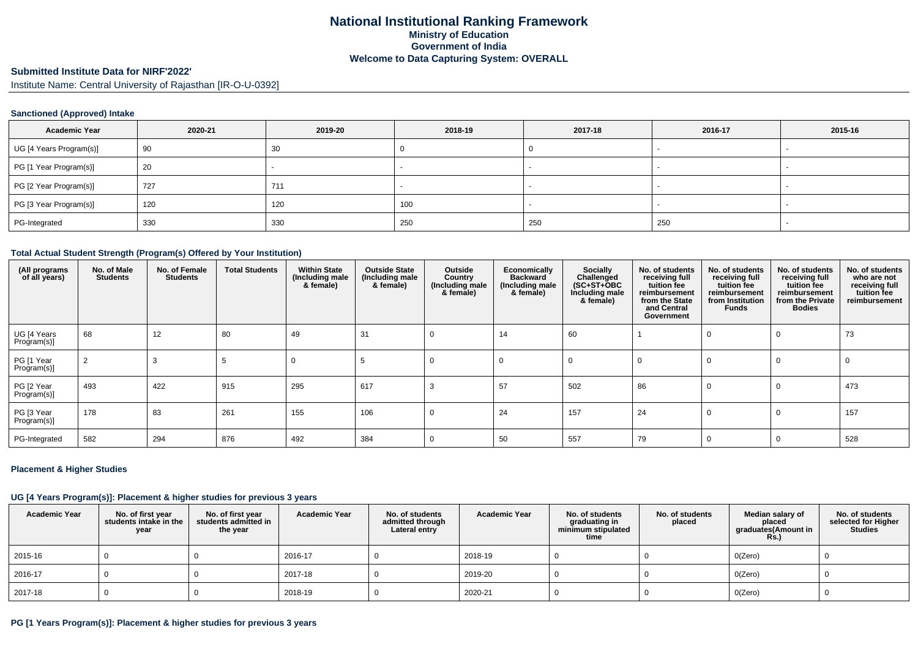#### **Submitted Institute Data for NIRF'2022'**

Institute Name: Central University of Rajasthan [IR-O-U-0392]

### **Sanctioned (Approved) Intake**

| <b>Academic Year</b>    | 2020-21 | 2019-20 | 2018-19 | 2017-18 | 2016-17 | 2015-16                  |
|-------------------------|---------|---------|---------|---------|---------|--------------------------|
| UG [4 Years Program(s)] | 90      | 30      |         |         |         |                          |
| PG [1 Year Program(s)]  | 20      |         |         |         |         |                          |
| PG [2 Year Program(s)]  | 727     | 711     |         |         |         | $\overline{\phantom{a}}$ |
| PG [3 Year Program(s)]  | 120     | 120     | 100     |         |         |                          |
| PG-Integrated           | 330     | 330     | 250     | 250     | 250     |                          |

## **Total Actual Student Strength (Program(s) Offered by Your Institution)**

| (All programs<br>of all years) | No. of Male<br><b>Students</b> | No. of Female<br><b>Students</b> | <b>Total Students</b> | <b>Within State</b><br>(Including male<br>& female) | <b>Outside State</b><br>(Including male<br>& female) | Outside<br>Country<br>(Including male<br>& female) | Economically<br><b>Backward</b><br>(Including male<br>& female) | Socially<br>Challenged<br>$(SC+ST+OBC)$<br>Including male<br>& female) | No. of students<br>receiving full<br>tuition fee<br>reimbursement<br>from the State<br>and Central<br>Government | No. of students<br>receiving full<br>tuition fee<br>reimbursement<br>from Institution<br><b>Funds</b> | No. of students<br>receiving full<br>tuition fee<br>reimbursement<br>from the Private<br><b>Bodies</b> | No. of students<br>who are not<br>receiving full<br>tuition fee<br>reimbursement |
|--------------------------------|--------------------------------|----------------------------------|-----------------------|-----------------------------------------------------|------------------------------------------------------|----------------------------------------------------|-----------------------------------------------------------------|------------------------------------------------------------------------|------------------------------------------------------------------------------------------------------------------|-------------------------------------------------------------------------------------------------------|--------------------------------------------------------------------------------------------------------|----------------------------------------------------------------------------------|
| UG [4 Years<br>Program(s)]     | 68                             | 12                               | 80                    | 49                                                  | 31                                                   |                                                    | 14                                                              | 60                                                                     |                                                                                                                  | $\Omega$                                                                                              |                                                                                                        | 73                                                                               |
| PG [1 Year<br>Program(s)]      |                                |                                  |                       |                                                     |                                                      | $\Omega$                                           | $\Omega$                                                        | $\Omega$                                                               | $\Omega$                                                                                                         | $\Omega$                                                                                              |                                                                                                        |                                                                                  |
| PG [2 Year<br>Program(s)]      | 493                            | 422                              | 915                   | 295                                                 | 617                                                  |                                                    | 57                                                              | 502                                                                    | 86                                                                                                               | 0                                                                                                     |                                                                                                        | 473                                                                              |
| PG [3 Year<br>Program(s)]      | 178                            | 83                               | 261                   | 155                                                 | 106                                                  | $\Omega$                                           | 24                                                              | 157                                                                    | 24                                                                                                               | 0                                                                                                     | $\Omega$                                                                                               | 157                                                                              |
| PG-Integrated                  | 582                            | 294                              | 876                   | 492                                                 | 384                                                  |                                                    | 50                                                              | 557                                                                    | 79                                                                                                               | $\Omega$                                                                                              |                                                                                                        | 528                                                                              |

#### **Placement & Higher Studies**

#### **UG [4 Years Program(s)]: Placement & higher studies for previous 3 years**

| <b>Academic Year</b> | No. of first year<br>students intake in the<br>year | No. of first year<br>students admitted in<br>the year | <b>Academic Year</b> | No. of students<br>admitted through<br>Lateral entry | <b>Academic Year</b> | No. of students<br>graduating in<br>minimum stipulated<br>time | No. of students<br>placed | Median salary of<br>placed<br>graduates(Amount in<br><b>Rs.)</b> | No. of students<br>selected for Higher<br><b>Studies</b> |
|----------------------|-----------------------------------------------------|-------------------------------------------------------|----------------------|------------------------------------------------------|----------------------|----------------------------------------------------------------|---------------------------|------------------------------------------------------------------|----------------------------------------------------------|
| 2015-16              |                                                     |                                                       | 2016-17              |                                                      | 2018-19              |                                                                |                           | O(Zero)                                                          |                                                          |
| 2016-17              |                                                     |                                                       | 2017-18              |                                                      | 2019-20              |                                                                |                           | O(Zero)                                                          |                                                          |
| 2017-18              |                                                     |                                                       | 2018-19              |                                                      | 2020-21              |                                                                |                           | O(Zero)                                                          |                                                          |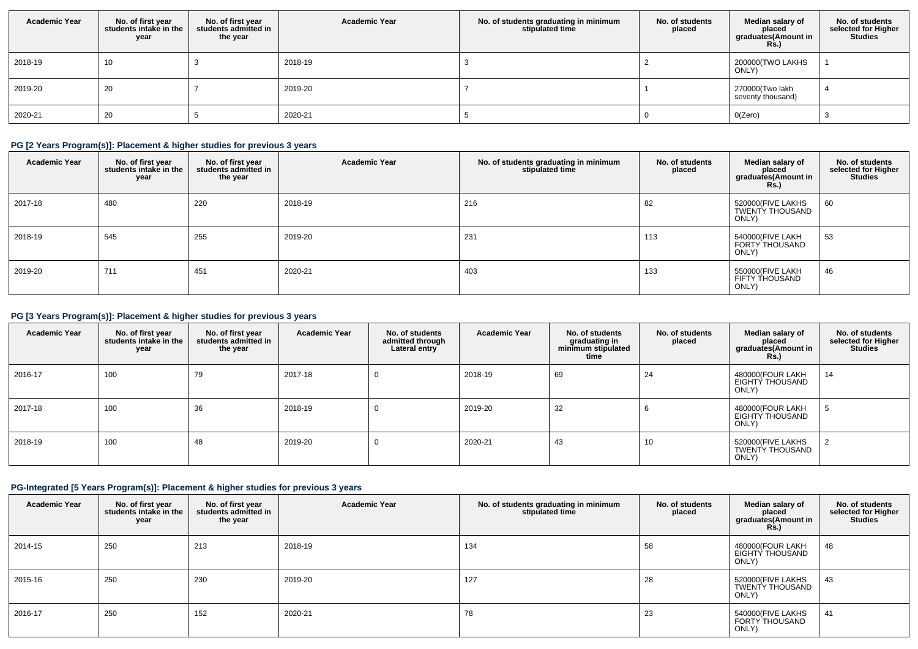| <b>Academic Year</b> | No. of first year<br>students intake in the<br>year | No. of first year<br>students admitted in<br>the year | <b>Academic Year</b> | No. of students graduating in minimum<br>stipulated time | No. of students<br>placed | Median salary of<br>placed<br>graduates(Amount in<br><b>Rs.)</b> | No. of students<br>selected for Higher<br><b>Studies</b> |
|----------------------|-----------------------------------------------------|-------------------------------------------------------|----------------------|----------------------------------------------------------|---------------------------|------------------------------------------------------------------|----------------------------------------------------------|
| 2018-19              | 10                                                  |                                                       | 2018-19              |                                                          |                           | 200000(TWO LAKHS<br>ONLY)                                        |                                                          |
| 2019-20              | 20                                                  |                                                       | 2019-20              |                                                          |                           | 270000(Two lakh<br>seventy thousand)                             |                                                          |
| 2020-21              | 20                                                  |                                                       | 2020-21              |                                                          |                           | O(Zero)                                                          |                                                          |

### **PG [2 Years Program(s)]: Placement & higher studies for previous 3 years**

| <b>Academic Year</b> | No. of first year<br>students intake in the<br>year | No. of first year<br>students admitted in<br>the year | <b>Academic Year</b> | No. of students graduating in minimum<br>stipulated time | No. of students<br>placed | Median salary of<br>placed<br>graduates(Amount in<br><b>Rs.)</b> | No. of students<br>selected for Higher<br><b>Studies</b> |
|----------------------|-----------------------------------------------------|-------------------------------------------------------|----------------------|----------------------------------------------------------|---------------------------|------------------------------------------------------------------|----------------------------------------------------------|
| 2017-18              | 480                                                 | 220                                                   | 2018-19              | 216                                                      | 82                        | 520000(FIVE LAKHS<br><b>TWENTY THOUSAND</b><br>ONLY)             | 60                                                       |
| 2018-19              | 545                                                 | 255                                                   | 2019-20              | 231                                                      | 113                       | 540000(FIVE LAKH<br><b>FORTY THOUSAND</b><br>ONLY)               | 53                                                       |
| 2019-20              | 711                                                 | 451                                                   | 2020-21              | 403                                                      | 133                       | 550000(FIVE LAKH<br><b>FIFTY THOUSAND</b><br>ONLY)               | 46                                                       |

## **PG [3 Years Program(s)]: Placement & higher studies for previous 3 years**

| <b>Academic Year</b> | No. of first year<br>students intake in the<br>year | No. of first year<br>students admitted in<br>the year | <b>Academic Year</b> | No. of students<br>admitted through<br>Lateral entry | <b>Academic Year</b> | No. of students<br>graduating in<br>minimum stipulated<br>time | No. of students<br>placed | Median salary of<br>placed<br>graduates(Amount in<br><b>Rs.)</b> | No. of students<br>selected for Higher<br><b>Studies</b> |
|----------------------|-----------------------------------------------------|-------------------------------------------------------|----------------------|------------------------------------------------------|----------------------|----------------------------------------------------------------|---------------------------|------------------------------------------------------------------|----------------------------------------------------------|
| 2016-17              | 100                                                 | 79                                                    | 2017-18              | $\Omega$                                             | 2018-19              | 69                                                             | 24                        | 480000(FOUR LAKH<br><b>EIGHTY THOUSAND</b><br>ONLY)              | 14                                                       |
| 2017-18              | 100                                                 | 36                                                    | 2018-19              | 0                                                    | 2019-20              | 32                                                             | O                         | 480000(FOUR LAKH<br>EIGHTY THOUSAND<br>ONLY)                     |                                                          |
| 2018-19              | 100                                                 | 48                                                    | 2019-20              | 0                                                    | 2020-21              | 43                                                             | 10                        | 520000(FIVE LAKHS<br><b>TWENTY THOUSAND</b><br>ONLY)             |                                                          |

## **PG-Integrated [5 Years Program(s)]: Placement & higher studies for previous 3 years**

| <b>Academic Year</b> | No. of first year<br>students intake in the<br>year | No. of first year<br>students admitted in<br>the year | <b>Academic Year</b> | No. of students graduating in minimum<br>stipulated time | No. of students<br>placed | Median salary of<br>placed<br>graduates(Amount in<br><b>Rs.)</b> | No. of students<br>selected for Higher<br><b>Studies</b> |
|----------------------|-----------------------------------------------------|-------------------------------------------------------|----------------------|----------------------------------------------------------|---------------------------|------------------------------------------------------------------|----------------------------------------------------------|
| 2014-15              | 250                                                 | 213                                                   | 2018-19              | 134                                                      | 58                        | 480000(FOUR LAKH<br>EIGHTY THOUSAND<br>ONLY)                     | 48                                                       |
| 2015-16              | 250                                                 | 230                                                   | 2019-20              | 127                                                      | 28                        | 520000 (FIVE LAKHS<br>TWENTY THOUSAND<br>ONLY)                   | 43                                                       |
| 2016-17              | 250                                                 | 152                                                   | 2020-21              | 78                                                       | 23                        | 540000(FIVE LAKHS<br>FORTY THOUSAND<br>ONLY)                     | 41                                                       |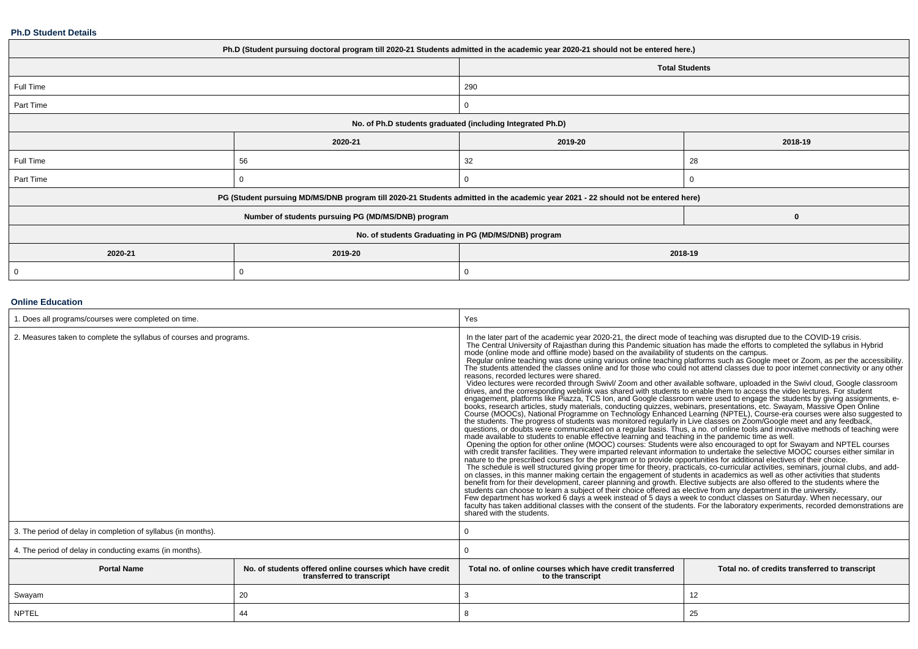#### **Ph.D Student Details**

| Ph.D (Student pursuing doctoral program till 2020-21 Students admitted in the academic year 2020-21 should not be entered here.) |                                                                                                                                  |                                                      |                       |  |  |  |
|----------------------------------------------------------------------------------------------------------------------------------|----------------------------------------------------------------------------------------------------------------------------------|------------------------------------------------------|-----------------------|--|--|--|
|                                                                                                                                  |                                                                                                                                  |                                                      | <b>Total Students</b> |  |  |  |
| Full Time                                                                                                                        |                                                                                                                                  | 290                                                  |                       |  |  |  |
| Part Time                                                                                                                        |                                                                                                                                  | $\Omega$                                             |                       |  |  |  |
| No. of Ph.D students graduated (including Integrated Ph.D)                                                                       |                                                                                                                                  |                                                      |                       |  |  |  |
|                                                                                                                                  | 2020-21                                                                                                                          | 2019-20                                              | 2018-19               |  |  |  |
| Full Time                                                                                                                        | 56                                                                                                                               | 32                                                   | 28                    |  |  |  |
| Part Time                                                                                                                        | 0                                                                                                                                | $\Omega$                                             |                       |  |  |  |
|                                                                                                                                  | PG (Student pursuing MD/MS/DNB program till 2020-21 Students admitted in the academic year 2021 - 22 should not be entered here) |                                                      |                       |  |  |  |
|                                                                                                                                  | Number of students pursuing PG (MD/MS/DNB) program                                                                               |                                                      | $\bf{0}$              |  |  |  |
|                                                                                                                                  |                                                                                                                                  | No. of students Graduating in PG (MD/MS/DNB) program |                       |  |  |  |
| 2020-21                                                                                                                          | 2019-20                                                                                                                          | 2018-19                                              |                       |  |  |  |
| 0                                                                                                                                | 0                                                                                                                                |                                                      |                       |  |  |  |

### **Online Education**

| 1. Does all programs/courses were completed on time.                |                                                                                       | Yes                                                                                                                                                                                                                                                                                                                                                                                                                                                                                                                                                                                                                                                                                                                                                                                                                                                                                                                                                                                                                                                                                                                                                                                                                                                                                                                                                                                                                                                                                                                                                                                                                                                                                                                                                                                                                                                                                                                                                                                                                                                                                                                                                                                                                                                                                                                                                                                                                                                                                                                                                                                                                                                                                                       |                                                |  |  |  |
|---------------------------------------------------------------------|---------------------------------------------------------------------------------------|-----------------------------------------------------------------------------------------------------------------------------------------------------------------------------------------------------------------------------------------------------------------------------------------------------------------------------------------------------------------------------------------------------------------------------------------------------------------------------------------------------------------------------------------------------------------------------------------------------------------------------------------------------------------------------------------------------------------------------------------------------------------------------------------------------------------------------------------------------------------------------------------------------------------------------------------------------------------------------------------------------------------------------------------------------------------------------------------------------------------------------------------------------------------------------------------------------------------------------------------------------------------------------------------------------------------------------------------------------------------------------------------------------------------------------------------------------------------------------------------------------------------------------------------------------------------------------------------------------------------------------------------------------------------------------------------------------------------------------------------------------------------------------------------------------------------------------------------------------------------------------------------------------------------------------------------------------------------------------------------------------------------------------------------------------------------------------------------------------------------------------------------------------------------------------------------------------------------------------------------------------------------------------------------------------------------------------------------------------------------------------------------------------------------------------------------------------------------------------------------------------------------------------------------------------------------------------------------------------------------------------------------------------------------------------------------------------------|------------------------------------------------|--|--|--|
| 2. Measures taken to complete the syllabus of courses and programs. |                                                                                       | The Central University of Rajasthan during this Pandemic situation has made the efforts to completed the syllabus in Hybrid<br>mode (online mode and offline mode) based on the availability of students on the campus.<br>Regular online teaching was done using various online teaching platforms such as Google meet or Zoom, as per the accessibility.<br>The students attended the classes online and for those who could not attend classes due to poor internet connectivity or any other<br>reasons, recorded lectures were shared.<br>Video lectures were recorded through Swivl/ Zoom and other available software, uploaded in the Swivl cloud, Google classroom<br>drives, and the corresponding weblink was shared with students to enable them to access the video lectures. For student<br>engagement, platforms like Piazza, TCS Ion, and Google classroom were used to engage the students by giving assignments, e-<br>books, research articles, study materials, conducting quizzes, webinars, presentations, etc. Swaya<br>Course (MOOCs), National Programme on Technology Enhanced Learning (NPTEL), Course-era courses were also suggested to<br>the students. The progress of students was monitored regularly in Live classes on Zoom/Google meet and any feedback,<br>questions, or doubts were communicated on a regular basis. Thus, a no. of online tools and innovative methods of teaching were<br>made available to students to enable effective learning and teaching in the pandemic time as well.<br>Opening the option for other online (MOOC) courses: Students were also encouraged to opt for Swayam and NPTEL courses<br>with credit transfer facilities. They were imparted relevant information to undertake the selective MOOC<br>nature to the prescribed courses for the program or to provide opportunities for additional electives of their choice.<br>The schedule is well structured giving proper time for theory, practicals, co-curricular activities, seminars, journal clubs, and add-<br>on classes, in this manner making certain the engagement of students in academics as well as other activities that students<br>benefit from for their development, career planning and growth. Elective subjects are also offered to the students where the students can choose to learn a subject of their choice offered as elective from any department in<br>Few department has worked 6 days a week instead of 5 days a week to conduct classes on Saturday. When necessary, our<br>faculty has taken additional classes with the consent of the students. For the laboratory experiments, recorded demonstrations are<br>shared with the students. |                                                |  |  |  |
| 3. The period of delay in completion of syllabus (in months).       |                                                                                       |                                                                                                                                                                                                                                                                                                                                                                                                                                                                                                                                                                                                                                                                                                                                                                                                                                                                                                                                                                                                                                                                                                                                                                                                                                                                                                                                                                                                                                                                                                                                                                                                                                                                                                                                                                                                                                                                                                                                                                                                                                                                                                                                                                                                                                                                                                                                                                                                                                                                                                                                                                                                                                                                                                           |                                                |  |  |  |
| 4. The period of delay in conducting exams (in months).             |                                                                                       |                                                                                                                                                                                                                                                                                                                                                                                                                                                                                                                                                                                                                                                                                                                                                                                                                                                                                                                                                                                                                                                                                                                                                                                                                                                                                                                                                                                                                                                                                                                                                                                                                                                                                                                                                                                                                                                                                                                                                                                                                                                                                                                                                                                                                                                                                                                                                                                                                                                                                                                                                                                                                                                                                                           |                                                |  |  |  |
| <b>Portal Name</b>                                                  | No, of students offered online courses which have credit<br>transferred to transcript | Total no, of online courses which have credit transferred<br>to the transcript                                                                                                                                                                                                                                                                                                                                                                                                                                                                                                                                                                                                                                                                                                                                                                                                                                                                                                                                                                                                                                                                                                                                                                                                                                                                                                                                                                                                                                                                                                                                                                                                                                                                                                                                                                                                                                                                                                                                                                                                                                                                                                                                                                                                                                                                                                                                                                                                                                                                                                                                                                                                                            | Total no. of credits transferred to transcript |  |  |  |
| Swayam                                                              | 20                                                                                    | 3                                                                                                                                                                                                                                                                                                                                                                                                                                                                                                                                                                                                                                                                                                                                                                                                                                                                                                                                                                                                                                                                                                                                                                                                                                                                                                                                                                                                                                                                                                                                                                                                                                                                                                                                                                                                                                                                                                                                                                                                                                                                                                                                                                                                                                                                                                                                                                                                                                                                                                                                                                                                                                                                                                         | 12                                             |  |  |  |
| <b>NPTEL</b>                                                        | 44                                                                                    | 8                                                                                                                                                                                                                                                                                                                                                                                                                                                                                                                                                                                                                                                                                                                                                                                                                                                                                                                                                                                                                                                                                                                                                                                                                                                                                                                                                                                                                                                                                                                                                                                                                                                                                                                                                                                                                                                                                                                                                                                                                                                                                                                                                                                                                                                                                                                                                                                                                                                                                                                                                                                                                                                                                                         | 25                                             |  |  |  |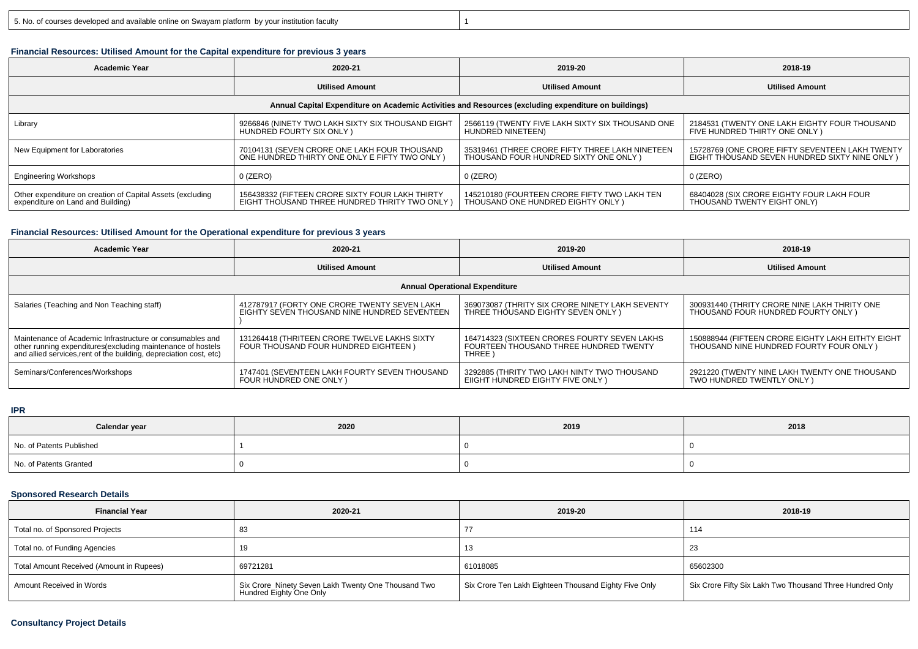# y and  $\vert$  1

## **Financial Resources: Utilised Amount for the Capital expenditure for previous 3 years**

| <b>Academic Year</b>                                                                                 | 2020-21                                                                                          |                                                                                           | 2018-19                                                                                           |  |  |  |  |  |
|------------------------------------------------------------------------------------------------------|--------------------------------------------------------------------------------------------------|-------------------------------------------------------------------------------------------|---------------------------------------------------------------------------------------------------|--|--|--|--|--|
|                                                                                                      | <b>Utilised Amount</b>                                                                           | <b>Utilised Amount</b>                                                                    | <b>Utilised Amount</b>                                                                            |  |  |  |  |  |
| Annual Capital Expenditure on Academic Activities and Resources (excluding expenditure on buildings) |                                                                                                  |                                                                                           |                                                                                                   |  |  |  |  |  |
| Library                                                                                              | 9266846 (NINETY TWO LAKH SIXTY SIX THOUSAND EIGHT<br>HUNDRED FOURTY SIX ONLY)                    | 2566119 (TWENTY FIVE LAKH SIXTY SIX THOUSAND ONE<br>HUNDRED NINETEEN)                     | 2184531 (TWENTY ONE LAKH EIGHTY FOUR THOUSAND<br>FIVE HUNDRED THIRTY ONE ONLY)                    |  |  |  |  |  |
| New Equipment for Laboratories                                                                       | 70104131 (SEVEN CRORE ONE LAKH FOUR THOUSAND<br>ONE HUNDRED THIRTY ONE ONLY E FIFTY TWO ONLY     | 35319461 (THREE CRORE FIFTY THREE LAKH NINETEEN<br>THOUSAND FOUR HUNDRED SIXTY ONE ONLY ) | 15728769 (ONE CRORE FIFTY SEVENTEEN LAKH TWENTY<br>EIGHT THOUSAND SEVEN HUNDRED SIXTY NINE ONLY ) |  |  |  |  |  |
| <b>Engineering Workshops</b>                                                                         | $0$ (ZERO)                                                                                       | $0$ (ZERO)                                                                                | $0$ (ZERO)                                                                                        |  |  |  |  |  |
| Other expenditure on creation of Capital Assets (excluding<br>expenditure on Land and Building)      | 156438332 (FIFTEEN CRORE SIXTY FOUR LAKH THIRTY<br>EIGHT THOUSAND THREE HUNDRED THRITY TWO ONLY) | 145210180 (FOURTEEN CRORE FIFTY TWO LAKH TEN<br>THOUSAND ONE HUNDRED EIGHTY ONLY)         | 68404028 (SIX CRORE EIGHTY FOUR LAKH FOUR<br>THOUSAND TWENTY EIGHT ONLY)                          |  |  |  |  |  |

## **Financial Resources: Utilised Amount for the Operational expenditure for previous 3 years**

| Academic Year                                                                                                                                                                                   | 2020-21                                                                                      | 2019-20                                                                                                      | 2018-19                                                                                       |  |  |  |  |  |
|-------------------------------------------------------------------------------------------------------------------------------------------------------------------------------------------------|----------------------------------------------------------------------------------------------|--------------------------------------------------------------------------------------------------------------|-----------------------------------------------------------------------------------------------|--|--|--|--|--|
|                                                                                                                                                                                                 | <b>Utilised Amount</b>                                                                       |                                                                                                              | <b>Utilised Amount</b>                                                                        |  |  |  |  |  |
| <b>Annual Operational Expenditure</b>                                                                                                                                                           |                                                                                              |                                                                                                              |                                                                                               |  |  |  |  |  |
| Salaries (Teaching and Non Teaching staff)                                                                                                                                                      | 412787917 (FORTY ONE CRORE TWENTY SEVEN LAKH<br>EIGHTY SEVEN THOUSAND NINE HUNDRED SEVENTEEN | 369073087 (THRITY SIX CRORE NINETY LAKH SEVENTY<br>THREE THOUSAND EIGHTY SEVEN ONLY)                         | 300931440 (THRITY CRORE NINE LAKH THRITY ONE<br>THOUSAND FOUR HUNDRED FOURTY ONLY )           |  |  |  |  |  |
| Maintenance of Academic Infrastructure or consumables and<br>other running expenditures (excluding maintenance of hostels<br>and allied services, rent of the building, depreciation cost, etc) | 131264418 (THRITEEN CRORE TWELVE LAKHS SIXTY<br>FOUR THOUSAND FOUR HUNDRED EIGHTEEN)         | 164714323 (SIXTEEN CRORES FOURTY SEVEN LAKHS<br>FOURTEEN THOUSAND THREE HUNDRED TWENTY<br>THREE <sup>1</sup> | 150888944 (FIFTEEN CRORE EIGHTY LAKH EITHTY EIGHT<br>THOUSAND NINE HUNDRED FOURTY FOUR ONLY ) |  |  |  |  |  |
| Seminars/Conferences/Workshops                                                                                                                                                                  | 1747401 (SEVENTEEN LAKH FOURTY SEVEN THOUSAND<br>FOUR HUNDRED ONE ONLY)                      | 3292885 (THRITY TWO LAKH NINTY TWO THOUSAND<br>EIIGHT HUNDRED EIGHTY FIVE ONLY)                              | 2921220 (TWENTY NINE LAKH TWENTY ONE THOUSAND<br>TWO HUNDRED TWENTLY ONLY )                   |  |  |  |  |  |

#### **IPR**

| Calendar year            | 2020 | 2019 | 2018 |
|--------------------------|------|------|------|
| No. of Patents Published |      |      |      |
| No. of Patents Granted   |      |      |      |

## **Sponsored Research Details**

| <b>Financial Year</b>                    | 2020-21                                                                        | 2019-20                                               | 2018-19                                                  |
|------------------------------------------|--------------------------------------------------------------------------------|-------------------------------------------------------|----------------------------------------------------------|
| Total no. of Sponsored Projects          |                                                                                |                                                       | 114                                                      |
| Total no. of Funding Agencies            |                                                                                | 13                                                    | -23                                                      |
| Total Amount Received (Amount in Rupees) | 69721281                                                                       | 61018085                                              | 65602300                                                 |
| Amount Received in Words                 | Six Crore Ninety Seven Lakh Twenty One Thousand Two<br>Hundred Eighty One Only | Six Crore Ten Lakh Eighteen Thousand Eighty Five Only | Six Crore Fifty Six Lakh Two Thousand Three Hundred Only |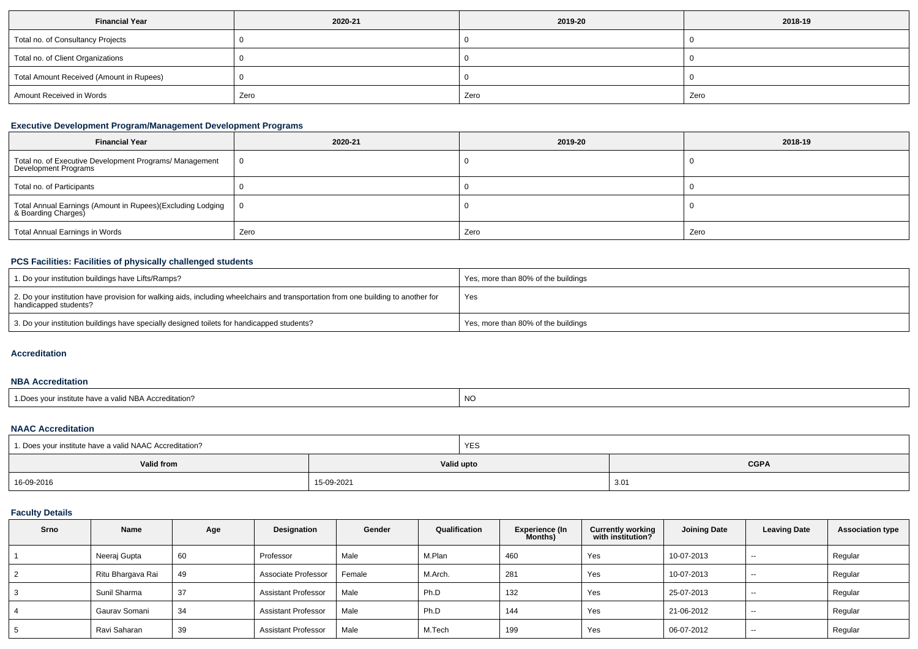| <b>Financial Year</b>                    | 2020-21 | 2019-20 | 2018-19 |  |
|------------------------------------------|---------|---------|---------|--|
| Total no. of Consultancy Projects        |         |         |         |  |
| Total no. of Client Organizations        |         |         |         |  |
| Total Amount Received (Amount in Rupees) |         |         |         |  |
| Amount Received in Words                 | Zero    | Zero    | Zero    |  |

## **Executive Development Program/Management Development Programs**

| <b>Financial Year</b>                                                             | 2020-21 | 2019-20 | 2018-19 |
|-----------------------------------------------------------------------------------|---------|---------|---------|
| Total no. of Executive Development Programs/ Management<br>Development Programs   |         |         |         |
| Total no. of Participants                                                         |         |         |         |
| Total Annual Earnings (Amount in Rupees)(Excluding Lodging<br>& Boarding Charges) |         |         |         |
| <b>Total Annual Earnings in Words</b>                                             | Zero    | Zero    | Zero    |

# **PCS Facilities: Facilities of physically challenged students**

| 1. Do your institution buildings have Lifts/Ramps?                                                                                                         | Yes, more than 80% of the buildings |
|------------------------------------------------------------------------------------------------------------------------------------------------------------|-------------------------------------|
| 2. Do your institution have provision for walking aids, including wheelchairs and transportation from one building to another for<br>handicapped students? | Yes                                 |
| 3. Do your institution buildings have specially designed toilets for handicapped students?                                                                 | Yes, more than 80% of the buildings |

### **Accreditation**

### **NBA Accreditation**

| s vour institute have a valid NBA Accreditation?<br>. Does<br>ייי |  |
|-------------------------------------------------------------------|--|
|-------------------------------------------------------------------|--|

#### **NAAC Accreditation**

| 1. Does your institute have a valid NAAC Accreditation? |            | YES        |             |  |  |
|---------------------------------------------------------|------------|------------|-------------|--|--|
| Valid from                                              |            | Valid upto | <b>CGPA</b> |  |  |
| 16-09-2016                                              | 15-09-2021 |            | 3.01        |  |  |

# **Faculty Details**

| <b>Srno</b> | Name              | Age | Designation                | Gender | Qualification | <b>Experience (In</b><br>Months) | <b>Currently working</b><br>with institution? | <b>Joining Date</b> | <b>Leaving Date</b> | <b>Association type</b> |
|-------------|-------------------|-----|----------------------------|--------|---------------|----------------------------------|-----------------------------------------------|---------------------|---------------------|-------------------------|
|             | Neeraj Gupta      | 60  | Professor                  | Male   | M.Plan        | 460                              | Yes                                           | 10-07-2013          | $\sim$              | Regular                 |
|             | Ritu Bhargava Rai | 49  | Associate Professor        | Female | M.Arch.       | 281                              | Yes                                           | 10-07-2013          | $\sim$              | Regular                 |
|             | Sunil Sharma      | 37  | <b>Assistant Professor</b> | Male   | Ph.D          | 132                              | Yes                                           | 25-07-2013          | $- -$               | Regular                 |
|             | Gaurav Somani     | 34  | <b>Assistant Professor</b> | Male   | Ph.D          | 144                              | Yes                                           | 21-06-2012          | $- -$               | Regular                 |
|             | Ravi Saharan      | 39  | <b>Assistant Professor</b> | Male   | M.Tech        | 199                              | Yes                                           | 06-07-2012          | $- -$               | Regular                 |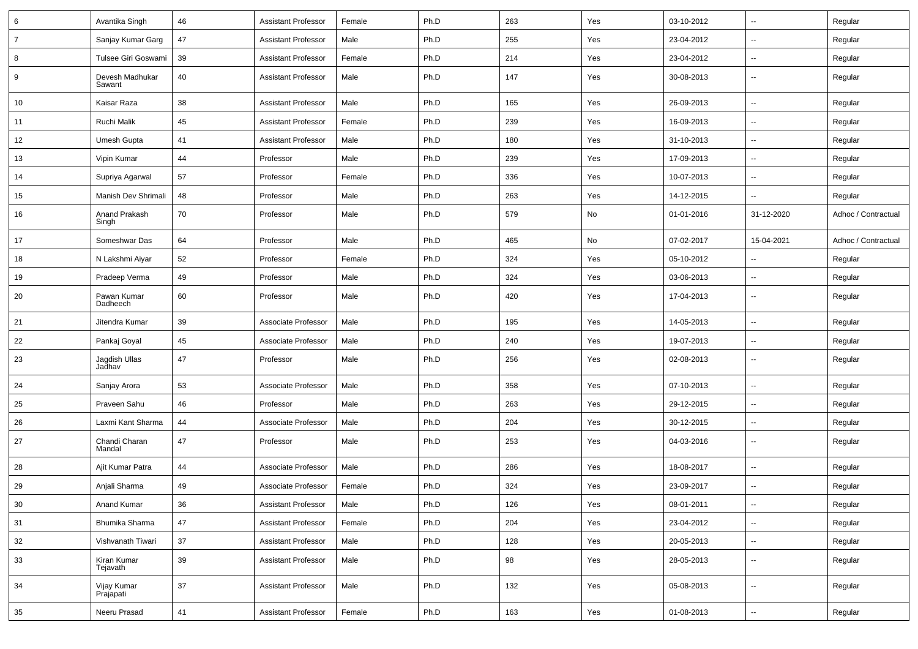| 6              | Avantika Singh            | 46 | <b>Assistant Professor</b> | Female | Ph.D | 263 | Yes | 03-10-2012 | ⊷.                       | Regular             |
|----------------|---------------------------|----|----------------------------|--------|------|-----|-----|------------|--------------------------|---------------------|
| $\overline{7}$ | Sanjay Kumar Garg         | 47 | <b>Assistant Professor</b> | Male   | Ph.D | 255 | Yes | 23-04-2012 | $\overline{\phantom{a}}$ | Regular             |
| 8              | Tulsee Giri Goswami       | 39 | <b>Assistant Professor</b> | Female | Ph.D | 214 | Yes | 23-04-2012 | --                       | Regular             |
| 9              | Devesh Madhukar<br>Sawant | 40 | <b>Assistant Professor</b> | Male   | Ph.D | 147 | Yes | 30-08-2013 | --                       | Regular             |
| 10             | Kaisar Raza               | 38 | <b>Assistant Professor</b> | Male   | Ph.D | 165 | Yes | 26-09-2013 | --                       | Regular             |
| 11             | Ruchi Malik               | 45 | <b>Assistant Professor</b> | Female | Ph.D | 239 | Yes | 16-09-2013 | $\mathbf{u}$             | Regular             |
| 12             | Umesh Gupta               | 41 | <b>Assistant Professor</b> | Male   | Ph.D | 180 | Yes | 31-10-2013 | $\overline{\phantom{a}}$ | Regular             |
| 13             | Vipin Kumar               | 44 | Professor                  | Male   | Ph.D | 239 | Yes | 17-09-2013 | ⊷.                       | Regular             |
| 14             | Supriya Agarwal           | 57 | Professor                  | Female | Ph.D | 336 | Yes | 10-07-2013 | $\overline{\phantom{a}}$ | Regular             |
| 15             | Manish Dev Shrimali       | 48 | Professor                  | Male   | Ph.D | 263 | Yes | 14-12-2015 | --                       | Regular             |
| 16             | Anand Prakash<br>Singh    | 70 | Professor                  | Male   | Ph.D | 579 | No  | 01-01-2016 | 31-12-2020               | Adhoc / Contractual |
| 17             | Someshwar Das             | 64 | Professor                  | Male   | Ph.D | 465 | No  | 07-02-2017 | 15-04-2021               | Adhoc / Contractual |
| 18             | N Lakshmi Aiyar           | 52 | Professor                  | Female | Ph.D | 324 | Yes | 05-10-2012 | $\overline{a}$           | Regular             |
| 19             | Pradeep Verma             | 49 | Professor                  | Male   | Ph.D | 324 | Yes | 03-06-2013 | $\sim$                   | Regular             |
| 20             | Pawan Kumar<br>Dadheech   | 60 | Professor                  | Male   | Ph.D | 420 | Yes | 17-04-2013 | $\overline{\phantom{a}}$ | Regular             |
| 21             | Jitendra Kumar            | 39 | Associate Professor        | Male   | Ph.D | 195 | Yes | 14-05-2013 | ⊷.                       | Regular             |
| 22             | Pankaj Goyal              | 45 | Associate Professor        | Male   | Ph.D | 240 | Yes | 19-07-2013 | $\overline{\phantom{a}}$ | Regular             |
| 23             | Jagdish Ullas<br>Jadhav   | 47 | Professor                  | Male   | Ph.D | 256 | Yes | 02-08-2013 | --                       | Regular             |
| 24             | Sanjay Arora              | 53 | Associate Professor        | Male   | Ph.D | 358 | Yes | 07-10-2013 | $\overline{\phantom{a}}$ | Regular             |
| 25             | Praveen Sahu              | 46 | Professor                  | Male   | Ph.D | 263 | Yes | 29-12-2015 | --                       | Regular             |
| 26             | Laxmi Kant Sharma         | 44 | Associate Professor        | Male   | Ph.D | 204 | Yes | 30-12-2015 | $\overline{\phantom{a}}$ | Regular             |
| 27             | Chandi Charan<br>Mandal   | 47 | Professor                  | Male   | Ph.D | 253 | Yes | 04-03-2016 | $\overline{\phantom{a}}$ | Regular             |
| 28             | Ajit Kumar Patra          | 44 | Associate Professor        | Male   | Ph.D | 286 | Yes | 18-08-2017 | $\overline{\phantom{a}}$ | Regular             |
| 29             | Anjali Sharma             | 49 | Associate Professor        | Female | Ph.D | 324 | Yes | 23-09-2017 | ⊷.                       | Regular             |
| 30             | Anand Kumar               | 36 | <b>Assistant Professor</b> | Male   | Ph.D | 126 | Yes | 08-01-2011 | $\overline{\phantom{a}}$ | Regular             |
| 31             | Bhumika Sharma            | 47 | <b>Assistant Professor</b> | Female | Ph.D | 204 | Yes | 23-04-2012 | $\overline{\phantom{a}}$ | Regular             |
| 32             | Vishvanath Tiwari         | 37 | <b>Assistant Professor</b> | Male   | Ph.D | 128 | Yes | 20-05-2013 | $\sim$                   | Regular             |
| 33             | Kiran Kumar<br>Tejavath   | 39 | <b>Assistant Professor</b> | Male   | Ph.D | 98  | Yes | 28-05-2013 | Щ,                       | Regular             |
| 34             | Vijay Kumar<br>Prajapati  | 37 | <b>Assistant Professor</b> | Male   | Ph.D | 132 | Yes | 05-08-2013 | Щ,                       | Regular             |
| 35             | Neeru Prasad              | 41 | <b>Assistant Professor</b> | Female | Ph.D | 163 | Yes | 01-08-2013 | Щ,                       | Regular             |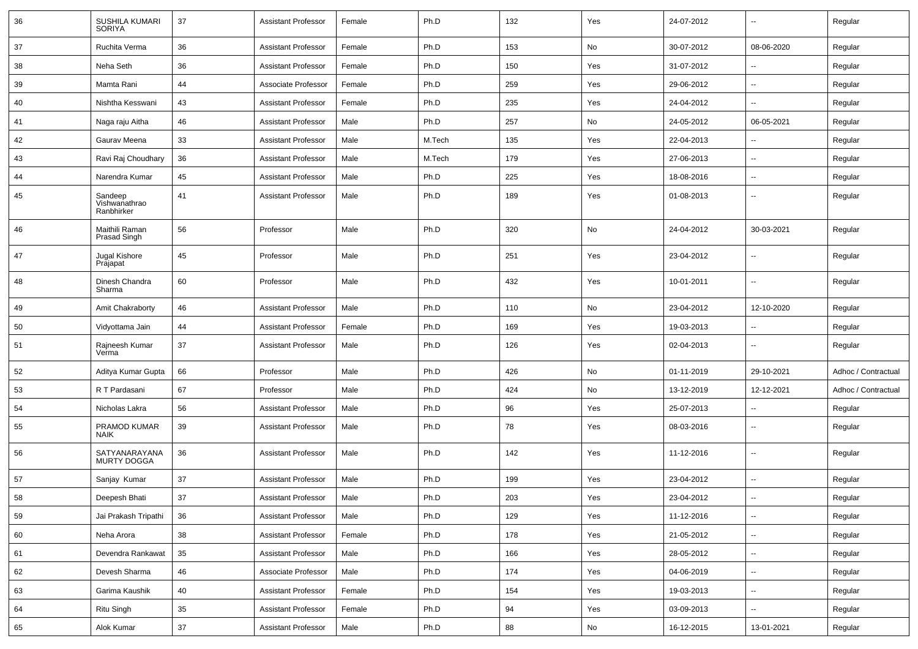| 36 | SUSHILA KUMARI<br><b>SORIYA</b>        | 37 | <b>Assistant Professor</b> | Female | Ph.D   | 132 | Yes | 24-07-2012 | $\overline{\phantom{a}}$ | Regular             |
|----|----------------------------------------|----|----------------------------|--------|--------|-----|-----|------------|--------------------------|---------------------|
| 37 | Ruchita Verma                          | 36 | <b>Assistant Professor</b> | Female | Ph.D   | 153 | No  | 30-07-2012 | 08-06-2020               | Regular             |
| 38 | Neha Seth                              | 36 | <b>Assistant Professor</b> | Female | Ph.D   | 150 | Yes | 31-07-2012 | --                       | Regular             |
| 39 | Mamta Rani                             | 44 | Associate Professor        | Female | Ph.D   | 259 | Yes | 29-06-2012 | $\sim$                   | Regular             |
| 40 | Nishtha Kesswani                       | 43 | <b>Assistant Professor</b> | Female | Ph.D   | 235 | Yes | 24-04-2012 | --                       | Regular             |
| 41 | Naga raju Aitha                        | 46 | <b>Assistant Professor</b> | Male   | Ph.D   | 257 | No  | 24-05-2012 | 06-05-2021               | Regular             |
| 42 | Gaurav Meena                           | 33 | <b>Assistant Professor</b> | Male   | M.Tech | 135 | Yes | 22-04-2013 |                          | Regular             |
| 43 | Ravi Raj Choudhary                     | 36 | <b>Assistant Professor</b> | Male   | M.Tech | 179 | Yes | 27-06-2013 | $\sim$                   | Regular             |
| 44 | Narendra Kumar                         | 45 | <b>Assistant Professor</b> | Male   | Ph.D   | 225 | Yes | 18-08-2016 | --                       | Regular             |
| 45 | Sandeep<br>Vishwanathrao<br>Ranbhirker | 41 | <b>Assistant Professor</b> | Male   | Ph.D   | 189 | Yes | 01-08-2013 | --                       | Regular             |
| 46 | Maithili Raman<br>Prasad Singh         | 56 | Professor                  | Male   | Ph.D   | 320 | No  | 24-04-2012 | 30-03-2021               | Regular             |
| 47 | Jugal Kishore<br>Prajapat              | 45 | Professor                  | Male   | Ph.D   | 251 | Yes | 23-04-2012 | --                       | Regular             |
| 48 | Dinesh Chandra<br>Sharma               | 60 | Professor                  | Male   | Ph.D   | 432 | Yes | 10-01-2011 | --                       | Regular             |
| 49 | Amit Chakraborty                       | 46 | <b>Assistant Professor</b> | Male   | Ph.D   | 110 | No  | 23-04-2012 | 12-10-2020               | Regular             |
| 50 | Vidyottama Jain                        | 44 | <b>Assistant Professor</b> | Female | Ph.D   | 169 | Yes | 19-03-2013 | --                       | Regular             |
| 51 | Rajneesh Kumar<br>Verma                | 37 | <b>Assistant Professor</b> | Male   | Ph.D   | 126 | Yes | 02-04-2013 | $\overline{\phantom{a}}$ | Regular             |
| 52 | Aditya Kumar Gupta                     | 66 | Professor                  | Male   | Ph.D   | 426 | No  | 01-11-2019 | 29-10-2021               | Adhoc / Contractual |
| 53 | R T Pardasani                          | 67 | Professor                  | Male   | Ph.D   | 424 | No  | 13-12-2019 | 12-12-2021               | Adhoc / Contractual |
| 54 | Nicholas Lakra                         | 56 | <b>Assistant Professor</b> | Male   | Ph.D   | 96  | Yes | 25-07-2013 |                          | Regular             |
| 55 | PRAMOD KUMAR<br><b>NAIK</b>            | 39 | <b>Assistant Professor</b> | Male   | Ph.D   | 78  | Yes | 08-03-2016 | $\overline{\phantom{a}}$ | Regular             |
| 56 | SATYANARAYANA<br><b>MURTY DOGGA</b>    | 36 | <b>Assistant Professor</b> | Male   | Ph.D   | 142 | Yes | 11-12-2016 | $\sim$                   | Regular             |
| 57 | Sanjay Kumar                           | 37 | <b>Assistant Professor</b> | Male   | Ph.D   | 199 | Yes | 23-04-2012 | --                       | Regular             |
| 58 | Deepesh Bhati                          | 37 | <b>Assistant Professor</b> | Male   | Ph.D   | 203 | Yes | 23-04-2012 | $\sim$                   | Regular             |
| 59 | Jai Prakash Tripathi                   | 36 | <b>Assistant Professor</b> | Male   | Ph.D   | 129 | Yes | 11-12-2016 | Ξ.                       | Regular             |
| 60 | Neha Arora                             | 38 | <b>Assistant Professor</b> | Female | Ph.D   | 178 | Yes | 21-05-2012 | $\overline{\phantom{a}}$ | Regular             |
| 61 | Devendra Rankawat                      | 35 | <b>Assistant Professor</b> | Male   | Ph.D   | 166 | Yes | 28-05-2012 | $\overline{\phantom{a}}$ | Regular             |
| 62 | Devesh Sharma                          | 46 | Associate Professor        | Male   | Ph.D   | 174 | Yes | 04-06-2019 | $\overline{\phantom{a}}$ | Regular             |
| 63 | Garima Kaushik                         | 40 | <b>Assistant Professor</b> | Female | Ph.D   | 154 | Yes | 19-03-2013 | $\sim$                   | Regular             |
| 64 | Ritu Singh                             | 35 | <b>Assistant Professor</b> | Female | Ph.D   | 94  | Yes | 03-09-2013 | ⊷.                       | Regular             |
| 65 | Alok Kumar                             | 37 | <b>Assistant Professor</b> | Male   | Ph.D   | 88  | No  | 16-12-2015 | 13-01-2021               | Regular             |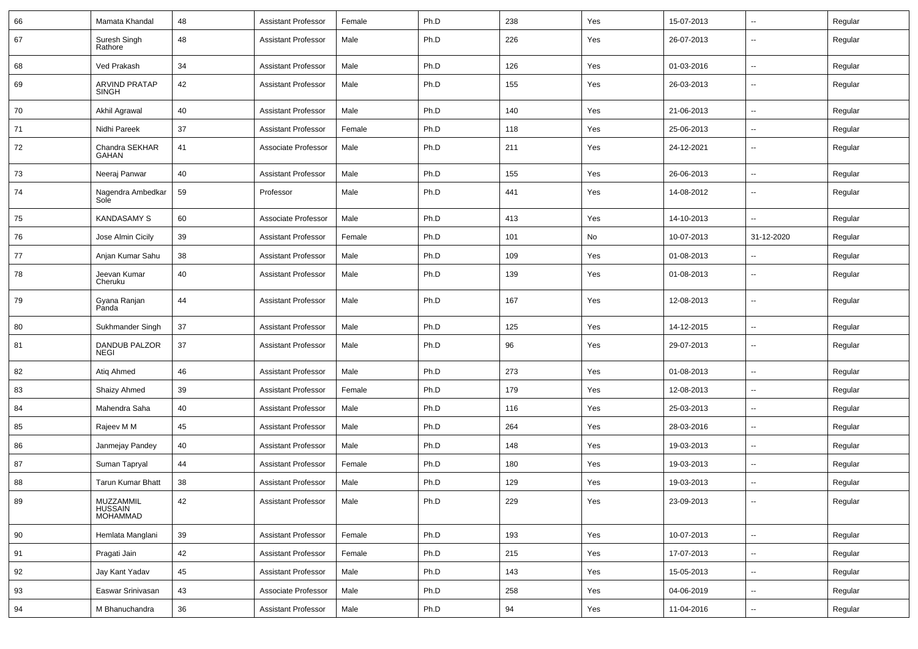| 66 | Mamata Khandal                          | 48     | <b>Assistant Professor</b> | Female | Ph.D | 238 | Yes | 15-07-2013 | $\overline{\phantom{a}}$ | Regular |
|----|-----------------------------------------|--------|----------------------------|--------|------|-----|-----|------------|--------------------------|---------|
| 67 | Suresh Singh<br>Rathore                 | 48     | <b>Assistant Professor</b> | Male   | Ph.D | 226 | Yes | 26-07-2013 | --                       | Regular |
| 68 | Ved Prakash                             | 34     | <b>Assistant Professor</b> | Male   | Ph.D | 126 | Yes | 01-03-2016 | $\overline{\phantom{a}}$ | Regular |
| 69 | ARVIND PRATAP<br><b>SINGH</b>           | 42     | <b>Assistant Professor</b> | Male   | Ph.D | 155 | Yes | 26-03-2013 | --                       | Regular |
| 70 | Akhil Agrawal                           | 40     | <b>Assistant Professor</b> | Male   | Ph.D | 140 | Yes | 21-06-2013 | $\overline{\phantom{a}}$ | Regular |
| 71 | Nidhi Pareek                            | 37     | <b>Assistant Professor</b> | Female | Ph.D | 118 | Yes | 25-06-2013 | $\overline{\phantom{a}}$ | Regular |
| 72 | Chandra SEKHAR<br>GAHAN                 | 41     | Associate Professor        | Male   | Ph.D | 211 | Yes | 24-12-2021 | --                       | Regular |
| 73 | Neeraj Panwar                           | 40     | <b>Assistant Professor</b> | Male   | Ph.D | 155 | Yes | 26-06-2013 | -−                       | Regular |
| 74 | Nagendra Ambedkar<br>Sole               | 59     | Professor                  | Male   | Ph.D | 441 | Yes | 14-08-2012 | ⊷.                       | Regular |
| 75 | <b>KANDASAMY S</b>                      | 60     | Associate Professor        | Male   | Ph.D | 413 | Yes | 14-10-2013 | Ξ.                       | Regular |
| 76 | Jose Almin Cicily                       | 39     | <b>Assistant Professor</b> | Female | Ph.D | 101 | No  | 10-07-2013 | 31-12-2020               | Regular |
| 77 | Anjan Kumar Sahu                        | 38     | Assistant Professor        | Male   | Ph.D | 109 | Yes | 01-08-2013 | --                       | Regular |
| 78 | Jeevan Kumar<br>Cheruku                 | 40     | <b>Assistant Professor</b> | Male   | Ph.D | 139 | Yes | 01-08-2013 | -−                       | Regular |
| 79 | Gyana Ranjan<br>Panda                   | 44     | <b>Assistant Professor</b> | Male   | Ph.D | 167 | Yes | 12-08-2013 | --                       | Regular |
| 80 | Sukhmander Singh                        | 37     | <b>Assistant Professor</b> | Male   | Ph.D | 125 | Yes | 14-12-2015 | $\overline{\phantom{a}}$ | Regular |
| 81 | DANDUB PALZOR<br><b>NEGI</b>            | 37     | <b>Assistant Professor</b> | Male   | Ph.D | 96  | Yes | 29-07-2013 | $\overline{\phantom{a}}$ | Regular |
| 82 | Atiq Ahmed                              | 46     | <b>Assistant Professor</b> | Male   | Ph.D | 273 | Yes | 01-08-2013 | --                       | Regular |
| 83 | Shaizy Ahmed                            | 39     | <b>Assistant Professor</b> | Female | Ph.D | 179 | Yes | 12-08-2013 | $\overline{\phantom{a}}$ | Regular |
| 84 | Mahendra Saha                           | 40     | <b>Assistant Professor</b> | Male   | Ph.D | 116 | Yes | 25-03-2013 | $\overline{\phantom{a}}$ | Regular |
| 85 | Rajeev M M                              | 45     | <b>Assistant Professor</b> | Male   | Ph.D | 264 | Yes | 28-03-2016 | ⊷.                       | Regular |
| 86 | Janmejay Pandey                         | 40     | <b>Assistant Professor</b> | Male   | Ph.D | 148 | Yes | 19-03-2013 | $\overline{\phantom{a}}$ | Regular |
| 87 | Suman Tapryal                           | 44     | <b>Assistant Professor</b> | Female | Ph.D | 180 | Yes | 19-03-2013 | -−                       | Regular |
| 88 | <b>Tarun Kumar Bhatt</b>                | 38     | <b>Assistant Professor</b> | Male   | Ph.D | 129 | Yes | 19-03-2013 | --                       | Regular |
| 89 | MUZZAMMIL<br>HUSSAIN<br><b>MOHAMMAD</b> | 42     | Assistant Professor        | Male   | Ph.D | 229 | Yes | 23-09-2013 |                          | Regular |
| 90 | Hemlata Manglani                        | $39\,$ | <b>Assistant Professor</b> | Female | Ph.D | 193 | Yes | 10-07-2013 | Щ,                       | Regular |
| 91 | Pragati Jain                            | 42     | <b>Assistant Professor</b> | Female | Ph.D | 215 | Yes | 17-07-2013 | ш.                       | Regular |
| 92 | Jay Kant Yadav                          | 45     | <b>Assistant Professor</b> | Male   | Ph.D | 143 | Yes | 15-05-2013 | Щ,                       | Regular |
| 93 | Easwar Srinivasan                       | 43     | Associate Professor        | Male   | Ph.D | 258 | Yes | 04-06-2019 | Щ,                       | Regular |
| 94 | M Bhanuchandra                          | 36     | Assistant Professor        | Male   | Ph.D | 94  | Yes | 11-04-2016 | Щ,                       | Regular |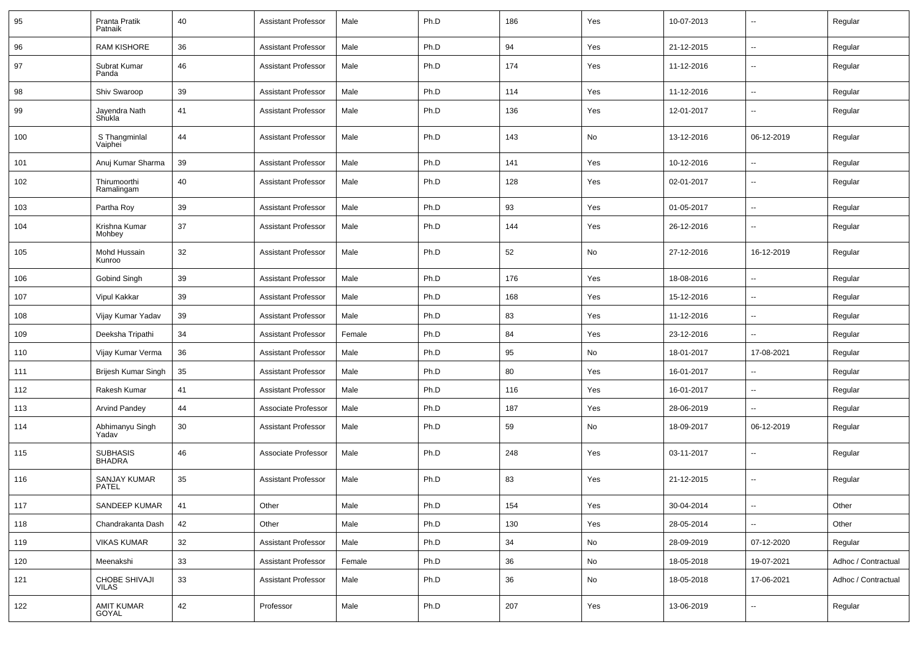| 95  | Pranta Pratik<br>Patnaik            | 40 | <b>Assistant Professor</b> | Male   | Ph.D | 186 | Yes | 10-07-2013 | $\overline{\phantom{a}}$ | Regular             |
|-----|-------------------------------------|----|----------------------------|--------|------|-----|-----|------------|--------------------------|---------------------|
| 96  | <b>RAM KISHORE</b>                  | 36 | <b>Assistant Professor</b> | Male   | Ph.D | 94  | Yes | 21-12-2015 | ⊷.                       | Regular             |
| 97  | Subrat Kumar<br>Panda               | 46 | <b>Assistant Professor</b> | Male   | Ph.D | 174 | Yes | 11-12-2016 | --                       | Regular             |
| 98  | Shiv Swaroop                        | 39 | <b>Assistant Professor</b> | Male   | Ph.D | 114 | Yes | 11-12-2016 | $\overline{\phantom{a}}$ | Regular             |
| 99  | Jayendra Nath<br>Shukla             | 41 | <b>Assistant Professor</b> | Male   | Ph.D | 136 | Yes | 12-01-2017 | --                       | Regular             |
| 100 | S Thangminlal<br>Vaiphei            | 44 | <b>Assistant Professor</b> | Male   | Ph.D | 143 | No  | 13-12-2016 | 06-12-2019               | Regular             |
| 101 | Anuj Kumar Sharma                   | 39 | <b>Assistant Professor</b> | Male   | Ph.D | 141 | Yes | 10-12-2016 | --                       | Regular             |
| 102 | Thirumoorthi<br>Ramalingam          | 40 | <b>Assistant Professor</b> | Male   | Ph.D | 128 | Yes | 02-01-2017 | -−                       | Regular             |
| 103 | Partha Roy                          | 39 | <b>Assistant Professor</b> | Male   | Ph.D | 93  | Yes | 01-05-2017 | -−                       | Regular             |
| 104 | Krishna Kumar<br>Mohbey             | 37 | <b>Assistant Professor</b> | Male   | Ph.D | 144 | Yes | 26-12-2016 | $\overline{\phantom{a}}$ | Regular             |
| 105 | Mohd Hussain<br>Kunroo              | 32 | <b>Assistant Professor</b> | Male   | Ph.D | 52  | No  | 27-12-2016 | 16-12-2019               | Regular             |
| 106 | <b>Gobind Singh</b>                 | 39 | <b>Assistant Professor</b> | Male   | Ph.D | 176 | Yes | 18-08-2016 | Ξ.                       | Regular             |
| 107 | Vipul Kakkar                        | 39 | <b>Assistant Professor</b> | Male   | Ph.D | 168 | Yes | 15-12-2016 | $\sim$                   | Regular             |
| 108 | Vijay Kumar Yadav                   | 39 | <b>Assistant Professor</b> | Male   | Ph.D | 83  | Yes | 11-12-2016 | ⊷.                       | Regular             |
| 109 | Deeksha Tripathi                    | 34 | <b>Assistant Professor</b> | Female | Ph.D | 84  | Yes | 23-12-2016 | $\sim$                   | Regular             |
| 110 | Vijay Kumar Verma                   | 36 | <b>Assistant Professor</b> | Male   | Ph.D | 95  | No  | 18-01-2017 | 17-08-2021               | Regular             |
| 111 | Brijesh Kumar Singh                 | 35 | <b>Assistant Professor</b> | Male   | Ph.D | 80  | Yes | 16-01-2017 | --                       | Regular             |
| 112 | Rakesh Kumar                        | 41 | <b>Assistant Professor</b> | Male   | Ph.D | 116 | Yes | 16-01-2017 | $\mathbf{u}$             | Regular             |
| 113 | <b>Arvind Pandey</b>                | 44 | Associate Professor        | Male   | Ph.D | 187 | Yes | 28-06-2019 | $\overline{\phantom{a}}$ | Regular             |
| 114 | Abhimanyu Singh<br>Yadav            | 30 | <b>Assistant Professor</b> | Male   | Ph.D | 59  | No  | 18-09-2017 | 06-12-2019               | Regular             |
| 115 | <b>SUBHASIS</b><br><b>BHADRA</b>    | 46 | Associate Professor        | Male   | Ph.D | 248 | Yes | 03-11-2017 | ⊷.                       | Regular             |
| 116 | <b>SANJAY KUMAR</b><br><b>PATEL</b> | 35 | <b>Assistant Professor</b> | Male   | Ph.D | 83  | Yes | 21-12-2015 | --                       | Regular             |
| 117 | SANDEEP KUMAR                       | 41 | Other                      | Male   | Ph.D | 154 | Yes | 30-04-2014 | $\sim$                   | Other               |
| 118 | Chandrakanta Dash                   | 42 | Other                      | Male   | Ph.D | 130 | Yes | 28-05-2014 | ш.                       | Other               |
| 119 | <b>VIKAS KUMAR</b>                  | 32 | <b>Assistant Professor</b> | Male   | Ph.D | 34  | No  | 28-09-2019 | 07-12-2020               | Regular             |
| 120 | Meenakshi                           | 33 | <b>Assistant Professor</b> | Female | Ph.D | 36  | No  | 18-05-2018 | 19-07-2021               | Adhoc / Contractual |
| 121 | CHOBE SHIVAJI<br><b>VILAS</b>       | 33 | <b>Assistant Professor</b> | Male   | Ph.D | 36  | No  | 18-05-2018 | 17-06-2021               | Adhoc / Contractual |
| 122 | <b>AMIT KUMAR</b><br>GOYAL          | 42 | Professor                  | Male   | Ph.D | 207 | Yes | 13-06-2019 | $\overline{\phantom{a}}$ | Regular             |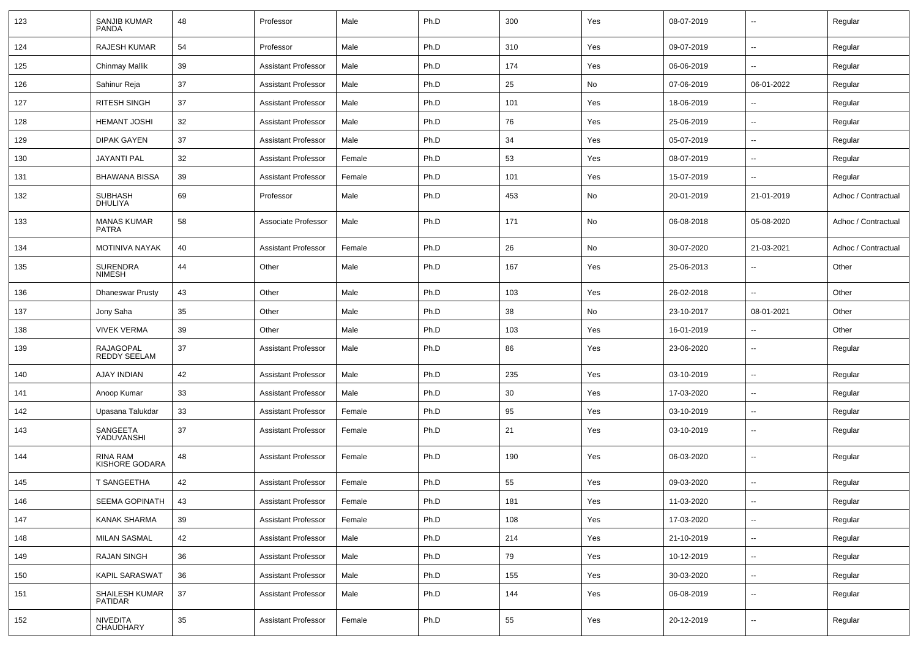| 123 | <b>SANJIB KUMAR</b><br><b>PANDA</b>     | 48 | Professor                  | Male   | Ph.D | 300 | Yes | 08-07-2019 | $\overline{a}$           | Regular             |
|-----|-----------------------------------------|----|----------------------------|--------|------|-----|-----|------------|--------------------------|---------------------|
| 124 | <b>RAJESH KUMAR</b>                     | 54 | Professor                  | Male   | Ph.D | 310 | Yes | 09-07-2019 | $\overline{\phantom{a}}$ | Regular             |
| 125 | Chinmay Mallik                          | 39 | <b>Assistant Professor</b> | Male   | Ph.D | 174 | Yes | 06-06-2019 | $\sim$                   | Regular             |
| 126 | Sahinur Reja                            | 37 | <b>Assistant Professor</b> | Male   | Ph.D | 25  | No  | 07-06-2019 | 06-01-2022               | Regular             |
| 127 | RITESH SINGH                            | 37 | <b>Assistant Professor</b> | Male   | Ph.D | 101 | Yes | 18-06-2019 |                          | Regular             |
| 128 | <b>HEMANT JOSHI</b>                     | 32 | <b>Assistant Professor</b> | Male   | Ph.D | 76  | Yes | 25-06-2019 | $\overline{\phantom{a}}$ | Regular             |
| 129 | <b>DIPAK GAYEN</b>                      | 37 | <b>Assistant Professor</b> | Male   | Ph.D | 34  | Yes | 05-07-2019 | $\overline{\phantom{a}}$ | Regular             |
| 130 | <b>JAYANTI PAL</b>                      | 32 | <b>Assistant Professor</b> | Female | Ph.D | 53  | Yes | 08-07-2019 | $\sim$                   | Regular             |
| 131 | <b>BHAWANA BISSA</b>                    | 39 | <b>Assistant Professor</b> | Female | Ph.D | 101 | Yes | 15-07-2019 | $\sim$                   | Regular             |
| 132 | <b>SUBHASH</b><br><b>DHULIYA</b>        | 69 | Professor                  | Male   | Ph.D | 453 | No  | 20-01-2019 | 21-01-2019               | Adhoc / Contractual |
| 133 | <b>MANAS KUMAR</b><br><b>PATRA</b>      | 58 | Associate Professor        | Male   | Ph.D | 171 | No  | 06-08-2018 | 05-08-2020               | Adhoc / Contractual |
| 134 | <b>MOTINIVA NAYAK</b>                   | 40 | <b>Assistant Professor</b> | Female | Ph.D | 26  | No  | 30-07-2020 | 21-03-2021               | Adhoc / Contractual |
| 135 | SURENDRA<br><b>NIMESH</b>               | 44 | Other                      | Male   | Ph.D | 167 | Yes | 25-06-2013 |                          | Other               |
| 136 | <b>Dhaneswar Prusty</b>                 | 43 | Other                      | Male   | Ph.D | 103 | Yes | 26-02-2018 |                          | Other               |
| 137 | Jony Saha                               | 35 | Other                      | Male   | Ph.D | 38  | No  | 23-10-2017 | 08-01-2021               | Other               |
| 138 | <b>VIVEK VERMA</b>                      | 39 | Other                      | Male   | Ph.D | 103 | Yes | 16-01-2019 |                          | Other               |
| 139 | <b>RAJAGOPAL</b><br><b>REDDY SEELAM</b> | 37 | <b>Assistant Professor</b> | Male   | Ph.D | 86  | Yes | 23-06-2020 | $\overline{\phantom{a}}$ | Regular             |
| 140 | <b>AJAY INDIAN</b>                      | 42 | <b>Assistant Professor</b> | Male   | Ph.D | 235 | Yes | 03-10-2019 |                          | Regular             |
| 141 | Anoop Kumar                             | 33 | <b>Assistant Professor</b> | Male   | Ph.D | 30  | Yes | 17-03-2020 | $\sim$                   | Regular             |
| 142 | Upasana Talukdar                        | 33 | <b>Assistant Professor</b> | Female | Ph.D | 95  | Yes | 03-10-2019 |                          | Regular             |
| 143 | SANGEETA<br>YADUVANSHI                  | 37 | <b>Assistant Professor</b> | Female | Ph.D | 21  | Yes | 03-10-2019 | --                       | Regular             |
| 144 | RINA RAM<br>KISHORE GODARA              | 48 | <b>Assistant Professor</b> | Female | Ph.D | 190 | Yes | 06-03-2020 | --                       | Regular             |
| 145 | T SANGEETHA                             | 42 | <b>Assistant Professor</b> | Female | Ph.D | 55  | Yes | 09-03-2020 | $\overline{\phantom{a}}$ | Regular             |
| 146 | SEEMA GOPINATH                          | 43 | Assistant Professor        | Female | Ph.D | 181 | Yes | 11-03-2020 |                          | Regular             |
| 147 | KANAK SHARMA                            | 39 | <b>Assistant Professor</b> | Female | Ph.D | 108 | Yes | 17-03-2020 | $\sim$                   | Regular             |
| 148 | <b>MILAN SASMAL</b>                     | 42 | <b>Assistant Professor</b> | Male   | Ph.D | 214 | Yes | 21-10-2019 | $\overline{\phantom{a}}$ | Regular             |
| 149 | RAJAN SINGH                             | 36 | <b>Assistant Professor</b> | Male   | Ph.D | 79  | Yes | 10-12-2019 | $\sim$                   | Regular             |
| 150 | KAPIL SARASWAT                          | 36 | <b>Assistant Professor</b> | Male   | Ph.D | 155 | Yes | 30-03-2020 | $\sim$                   | Regular             |
| 151 | SHAILESH KUMAR<br><b>PATIDAR</b>        | 37 | <b>Assistant Professor</b> | Male   | Ph.D | 144 | Yes | 06-08-2019 | $\overline{\phantom{a}}$ | Regular             |
| 152 | NIVEDITA<br>CHAUDHARY                   | 35 | <b>Assistant Professor</b> | Female | Ph.D | 55  | Yes | 20-12-2019 | ⊷.                       | Regular             |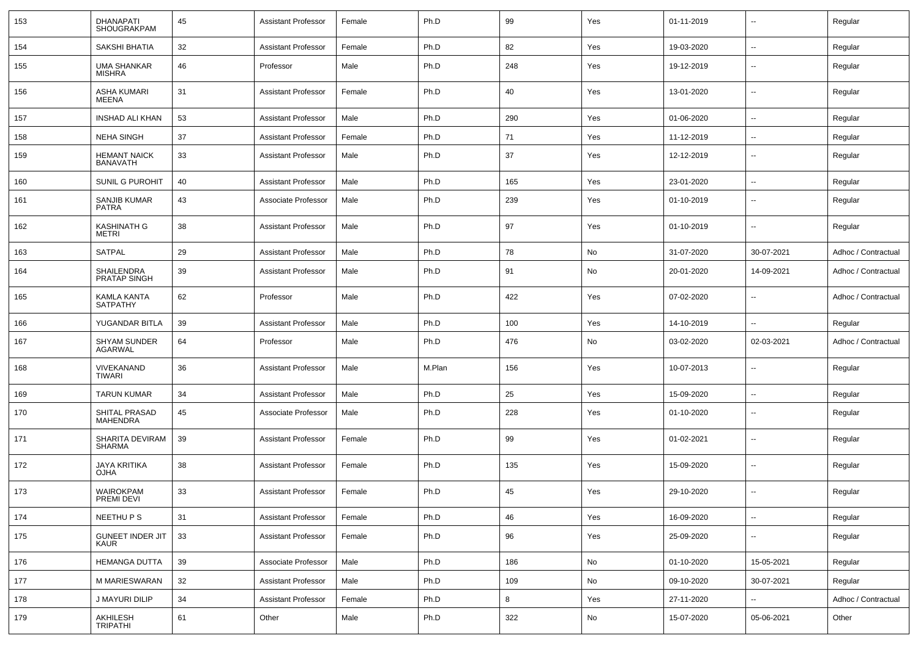| 153 | <b>DHANAPATI</b><br><b>SHOUGRAKPAM</b> | 45 | <b>Assistant Professor</b> | Female | Ph.D   | 99  | Yes | 01-11-2019 | $\sim$                   | Regular             |
|-----|----------------------------------------|----|----------------------------|--------|--------|-----|-----|------------|--------------------------|---------------------|
| 154 | SAKSHI BHATIA                          | 32 | <b>Assistant Professor</b> | Female | Ph.D   | 82  | Yes | 19-03-2020 | $\sim$                   | Regular             |
| 155 | <b>UMA SHANKAR</b><br>MISHRA           | 46 | Professor                  | Male   | Ph.D   | 248 | Yes | 19-12-2019 | $\overline{\phantom{a}}$ | Regular             |
| 156 | <b>ASHA KUMARI</b><br>MEENA            | 31 | <b>Assistant Professor</b> | Female | Ph.D   | 40  | Yes | 13-01-2020 | ۰.                       | Regular             |
| 157 | <b>INSHAD ALI KHAN</b>                 | 53 | <b>Assistant Professor</b> | Male   | Ph.D   | 290 | Yes | 01-06-2020 | $\overline{\phantom{a}}$ | Regular             |
| 158 | <b>NEHA SINGH</b>                      | 37 | <b>Assistant Professor</b> | Female | Ph.D   | 71  | Yes | 11-12-2019 | $\sim$                   | Regular             |
| 159 | <b>HEMANT NAICK</b><br><b>BANAVATH</b> | 33 | <b>Assistant Professor</b> | Male   | Ph.D   | 37  | Yes | 12-12-2019 | ۰.                       | Regular             |
| 160 | SUNIL G PUROHIT                        | 40 | <b>Assistant Professor</b> | Male   | Ph.D   | 165 | Yes | 23-01-2020 | $\overline{\phantom{a}}$ | Regular             |
| 161 | SANJIB KUMAR<br><b>PATRA</b>           | 43 | Associate Professor        | Male   | Ph.D   | 239 | Yes | 01-10-2019 | ۰.                       | Regular             |
| 162 | <b>KASHINATH G</b><br>METRI            | 38 | <b>Assistant Professor</b> | Male   | Ph.D   | 97  | Yes | 01-10-2019 |                          | Regular             |
| 163 | <b>SATPAL</b>                          | 29 | <b>Assistant Professor</b> | Male   | Ph.D   | 78  | No  | 31-07-2020 | 30-07-2021               | Adhoc / Contractual |
| 164 | SHAILENDRA<br>PRATAP SINGH             | 39 | <b>Assistant Professor</b> | Male   | Ph.D   | 91  | No  | 20-01-2020 | 14-09-2021               | Adhoc / Contractual |
| 165 | KAMLA KANTA<br><b>SATPATHY</b>         | 62 | Professor                  | Male   | Ph.D   | 422 | Yes | 07-02-2020 | $\sim$                   | Adhoc / Contractual |
| 166 | YUGANDAR BITLA                         | 39 | <b>Assistant Professor</b> | Male   | Ph.D   | 100 | Yes | 14-10-2019 |                          | Regular             |
| 167 | <b>SHYAM SUNDER</b><br>AGARWAL         | 64 | Professor                  | Male   | Ph.D   | 476 | No  | 03-02-2020 | 02-03-2021               | Adhoc / Contractual |
| 168 | VIVEKANAND<br>TIWARI                   | 36 | <b>Assistant Professor</b> | Male   | M.Plan | 156 | Yes | 10-07-2013 | $\sim$                   | Regular             |
| 169 | <b>TARUN KUMAR</b>                     | 34 | <b>Assistant Professor</b> | Male   | Ph.D   | 25  | Yes | 15-09-2020 | $\sim$                   | Regular             |
| 170 | SHITAL PRASAD<br><b>MAHENDRA</b>       | 45 | Associate Professor        | Male   | Ph.D   | 228 | Yes | 01-10-2020 | $\overline{\phantom{a}}$ | Regular             |
| 171 | SHARITA DEVIRAM<br>SHARMA              | 39 | <b>Assistant Professor</b> | Female | Ph.D   | 99  | Yes | 01-02-2021 | $\sim$                   | Regular             |
| 172 | <b>JAYA KRITIKA</b><br>OJHA            | 38 | <b>Assistant Professor</b> | Female | Ph.D   | 135 | Yes | 15-09-2020 | $\overline{\phantom{a}}$ | Regular             |
| 173 | WAIROKPAM<br>PREMI DEVI                | 33 | <b>Assistant Professor</b> | Female | Ph.D   | 45  | Yes | 29-10-2020 |                          | Regular             |
| 174 | NEETHU P S                             | 31 | <b>Assistant Professor</b> | Female | Ph.D   | 46  | Yes | 16-09-2020 | $\sim$                   | Regular             |
| 175 | <b>GUNEET INDER JIT</b><br><b>KAUR</b> | 33 | <b>Assistant Professor</b> | Female | Ph.D   | 96  | Yes | 25-09-2020 | $\sim$                   | Regular             |
| 176 | <b>HEMANGA DUTTA</b>                   | 39 | Associate Professor        | Male   | Ph.D   | 186 | No  | 01-10-2020 | 15-05-2021               | Regular             |
| 177 | M MARIESWARAN                          | 32 | <b>Assistant Professor</b> | Male   | Ph.D   | 109 | No  | 09-10-2020 | 30-07-2021               | Regular             |
| 178 | J MAYURI DILIP                         | 34 | <b>Assistant Professor</b> | Female | Ph.D   | 8   | Yes | 27-11-2020 |                          | Adhoc / Contractual |
| 179 | AKHILESH<br><b>TRIPATHI</b>            | 61 | Other                      | Male   | Ph.D   | 322 | No  | 15-07-2020 | 05-06-2021               | Other               |